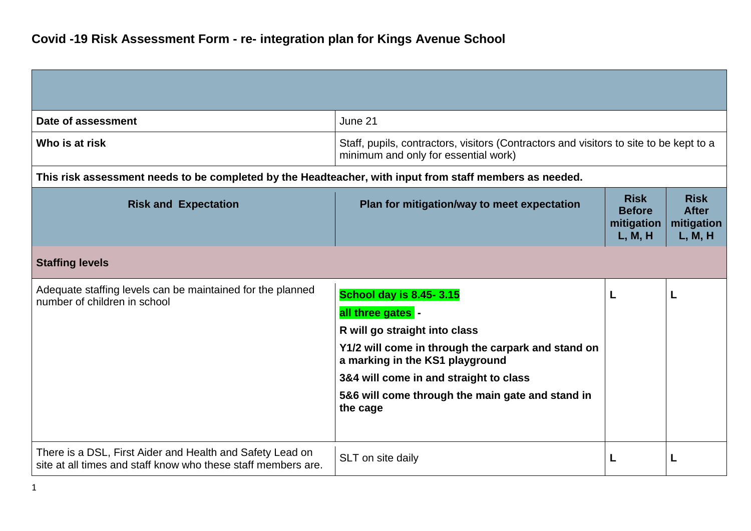| Date of assessment                                                                                                         | June 21                                                                                                                        |                                                       |                                                      |
|----------------------------------------------------------------------------------------------------------------------------|--------------------------------------------------------------------------------------------------------------------------------|-------------------------------------------------------|------------------------------------------------------|
| Who is at risk                                                                                                             | Staff, pupils, contractors, visitors (Contractors and visitors to site to be kept to a<br>minimum and only for essential work) |                                                       |                                                      |
| This risk assessment needs to be completed by the Headteacher, with input from staff members as needed.                    |                                                                                                                                |                                                       |                                                      |
| <b>Risk and Expectation</b>                                                                                                | Plan for mitigation/way to meet expectation                                                                                    | <b>Risk</b><br><b>Before</b><br>mitigation<br>L, M, H | <b>Risk</b><br><b>After</b><br>mitigation<br>L, M, H |
| <b>Staffing levels</b>                                                                                                     |                                                                                                                                |                                                       |                                                      |
| Adequate staffing levels can be maintained for the planned<br>number of children in school                                 | <b>School day is 8.45-3.15</b><br>all three gates -                                                                            | L                                                     |                                                      |
|                                                                                                                            | R will go straight into class                                                                                                  |                                                       |                                                      |
|                                                                                                                            | Y1/2 will come in through the carpark and stand on<br>a marking in the KS1 playground                                          |                                                       |                                                      |
|                                                                                                                            | 3&4 will come in and straight to class                                                                                         |                                                       |                                                      |
|                                                                                                                            | 5&6 will come through the main gate and stand in<br>the cage                                                                   |                                                       |                                                      |
| There is a DSL, First Aider and Health and Safety Lead on<br>site at all times and staff know who these staff members are. | SLT on site daily                                                                                                              | L                                                     |                                                      |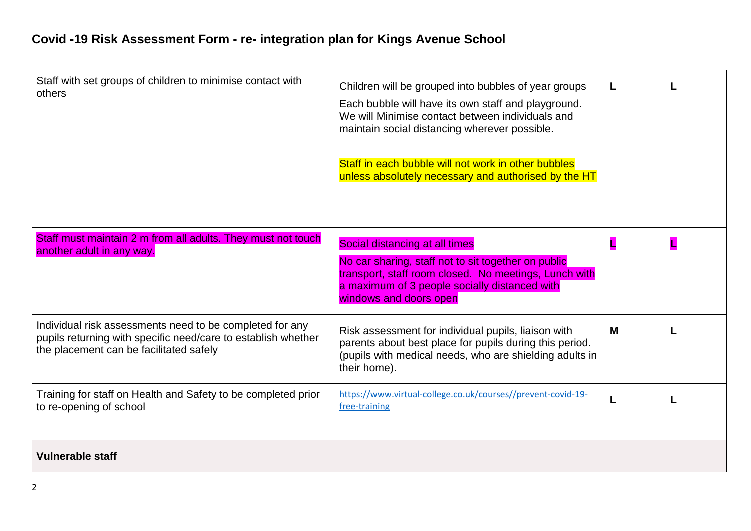| Staff with set groups of children to minimise contact with<br>others                                                                                                 | Children will be grouped into bubbles of year groups<br>Each bubble will have its own staff and playground.<br>We will Minimise contact between individuals and<br>maintain social distancing wherever possible.<br>Staff in each bubble will not work in other bubbles<br>unless absolutely necessary and authorised by the HT | L |  |
|----------------------------------------------------------------------------------------------------------------------------------------------------------------------|---------------------------------------------------------------------------------------------------------------------------------------------------------------------------------------------------------------------------------------------------------------------------------------------------------------------------------|---|--|
| Staff must maintain 2 m from all adults. They must not touch<br>another adult in any way.                                                                            | Social distancing at all times<br>No car sharing, staff not to sit together on public<br>transport, staff room closed. No meetings, Lunch with<br>a maximum of 3 people socially distanced with<br>windows and doors open                                                                                                       | L |  |
| Individual risk assessments need to be completed for any<br>pupils returning with specific need/care to establish whether<br>the placement can be facilitated safely | Risk assessment for individual pupils, liaison with<br>parents about best place for pupils during this period.<br>(pupils with medical needs, who are shielding adults in<br>their home).                                                                                                                                       | M |  |
| Training for staff on Health and Safety to be completed prior<br>to re-opening of school                                                                             | https://www.virtual-college.co.uk/courses//prevent-covid-19-<br>free-training                                                                                                                                                                                                                                                   |   |  |
| <b>Vulnerable staff</b>                                                                                                                                              |                                                                                                                                                                                                                                                                                                                                 |   |  |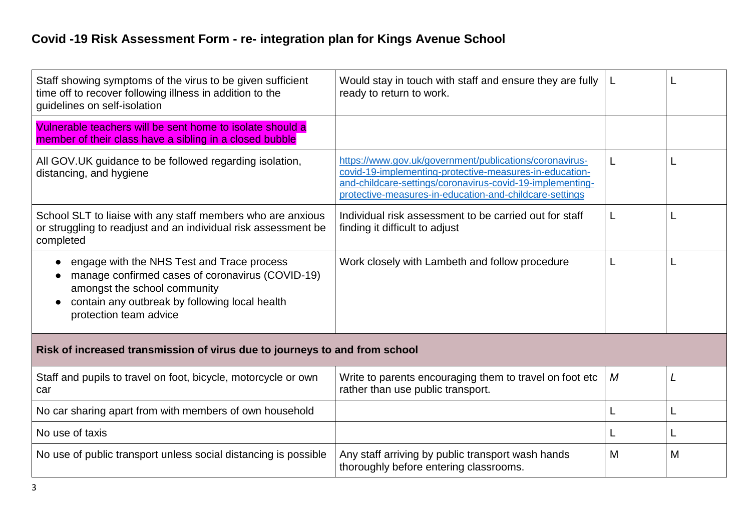| Staff showing symptoms of the virus to be given sufficient<br>time off to recover following illness in addition to the<br>guidelines on self-isolation                                                     | Would stay in touch with staff and ensure they are fully<br>ready to return to work.                                                                                                                                                       |   |   |
|------------------------------------------------------------------------------------------------------------------------------------------------------------------------------------------------------------|--------------------------------------------------------------------------------------------------------------------------------------------------------------------------------------------------------------------------------------------|---|---|
| Vulnerable teachers will be sent home to isolate should a<br>member of their class have a sibling in a closed bubble                                                                                       |                                                                                                                                                                                                                                            |   |   |
| All GOV.UK guidance to be followed regarding isolation,<br>distancing, and hygiene                                                                                                                         | https://www.gov.uk/government/publications/coronavirus-<br>covid-19-implementing-protective-measures-in-education-<br>and-childcare-settings/coronavirus-covid-19-implementing-<br>protective-measures-in-education-and-childcare-settings | L |   |
| School SLT to liaise with any staff members who are anxious<br>or struggling to readjust and an individual risk assessment be<br>completed                                                                 | Individual risk assessment to be carried out for staff<br>finding it difficult to adjust                                                                                                                                                   | L |   |
| engage with the NHS Test and Trace process<br>manage confirmed cases of coronavirus (COVID-19)<br>amongst the school community<br>contain any outbreak by following local health<br>protection team advice | Work closely with Lambeth and follow procedure                                                                                                                                                                                             | L |   |
| Risk of increased transmission of virus due to journeys to and from school                                                                                                                                 |                                                                                                                                                                                                                                            |   |   |
| Staff and pupils to travel on foot, bicycle, motorcycle or own<br>car                                                                                                                                      | Write to parents encouraging them to travel on foot etc<br>rather than use public transport.                                                                                                                                               | M |   |
| No car sharing apart from with members of own household                                                                                                                                                    |                                                                                                                                                                                                                                            | L |   |
| No use of taxis                                                                                                                                                                                            |                                                                                                                                                                                                                                            | L |   |
| No use of public transport unless social distancing is possible                                                                                                                                            | Any staff arriving by public transport wash hands<br>thoroughly before entering classrooms.                                                                                                                                                | M | M |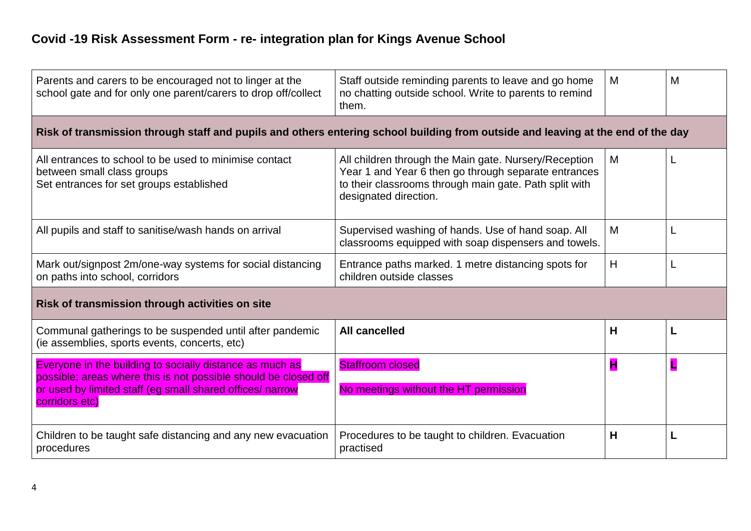| Parents and carers to be encouraged not to linger at the<br>school gate and for only one parent/carers to drop off/collect                                                                                 | Staff outside reminding parents to leave and go home<br>no chatting outside school. Write to parents to remind<br>them.                                                                          | M | Μ |
|------------------------------------------------------------------------------------------------------------------------------------------------------------------------------------------------------------|--------------------------------------------------------------------------------------------------------------------------------------------------------------------------------------------------|---|---|
| Risk of transmission through staff and pupils and others entering school building from outside and leaving at the end of the day                                                                           |                                                                                                                                                                                                  |   |   |
| All entrances to school to be used to minimise contact<br>between small class groups<br>Set entrances for set groups established                                                                           | All children through the Main gate. Nursery/Reception<br>Year 1 and Year 6 then go through separate entrances<br>to their classrooms through main gate. Path split with<br>designated direction. | M |   |
| All pupils and staff to sanitise/wash hands on arrival                                                                                                                                                     | Supervised washing of hands. Use of hand soap. All<br>classrooms equipped with soap dispensers and towels.                                                                                       | M |   |
| Mark out/signpost 2m/one-way systems for social distancing<br>on paths into school, corridors                                                                                                              | Entrance paths marked. 1 metre distancing spots for<br>children outside classes                                                                                                                  | H |   |
| Risk of transmission through activities on site                                                                                                                                                            |                                                                                                                                                                                                  |   |   |
| Communal gatherings to be suspended until after pandemic<br>(ie assemblies, sports events, concerts, etc)                                                                                                  | All cancelled                                                                                                                                                                                    | H |   |
| Everyone in the building to socially distance as much as<br>possible; areas where this is not possible should be closed off<br>or used by limited staff (eg small shared offices/ narrow<br>corridors etc) | <b>Staffroom closed</b><br>No meetings without the HT permission                                                                                                                                 | н |   |
| Children to be taught safe distancing and any new evacuation<br>procedures                                                                                                                                 | Procedures to be taught to children. Evacuation<br>practised                                                                                                                                     | H |   |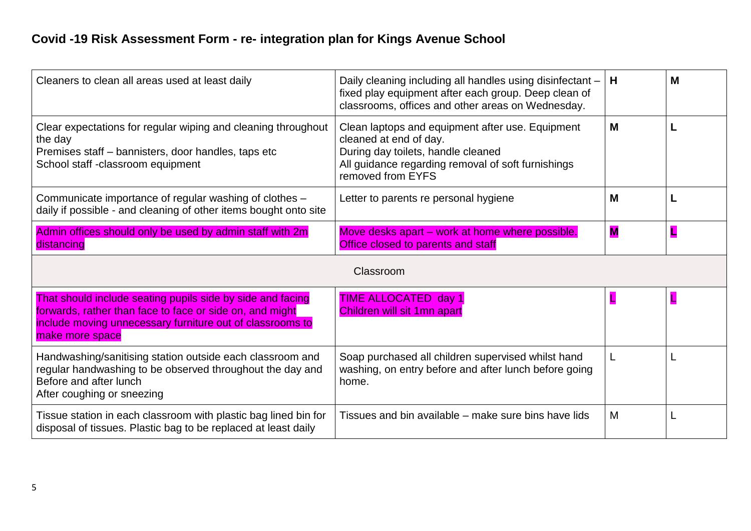| Cleaners to clean all areas used at least daily                                                                                                                                                        | Daily cleaning including all handles using disinfectant -<br>fixed play equipment after each group. Deep clean of<br>classrooms, offices and other areas on Wednesday.                      | H                       | M |
|--------------------------------------------------------------------------------------------------------------------------------------------------------------------------------------------------------|---------------------------------------------------------------------------------------------------------------------------------------------------------------------------------------------|-------------------------|---|
| Clear expectations for regular wiping and cleaning throughout<br>the day<br>Premises staff – bannisters, door handles, taps etc<br>School staff - classroom equipment                                  | Clean laptops and equipment after use. Equipment<br>cleaned at end of day.<br>During day toilets, handle cleaned<br>All guidance regarding removal of soft furnishings<br>removed from EYFS | M                       |   |
| Communicate importance of regular washing of clothes -<br>daily if possible - and cleaning of other items bought onto site                                                                             | Letter to parents re personal hygiene                                                                                                                                                       | M                       |   |
| Admin offices should only be used by admin staff with 2m<br>distancing                                                                                                                                 | Move desks apart – work at home where possible.<br>Office closed to parents and staff                                                                                                       | $\overline{\mathbf{M}}$ |   |
| Classroom                                                                                                                                                                                              |                                                                                                                                                                                             |                         |   |
|                                                                                                                                                                                                        |                                                                                                                                                                                             |                         |   |
| That should include seating pupils side by side and facing<br>forwards, rather than face to face or side on, and might<br>include moving unnecessary furniture out of classrooms to<br>make more space | <b>TIME ALLOCATED day 1</b><br>Children will sit 1mn apart                                                                                                                                  | L                       |   |
| Handwashing/sanitising station outside each classroom and<br>regular handwashing to be observed throughout the day and<br>Before and after lunch<br>After coughing or sneezing                         | Soap purchased all children supervised whilst hand<br>washing, on entry before and after lunch before going<br>home.                                                                        | L                       |   |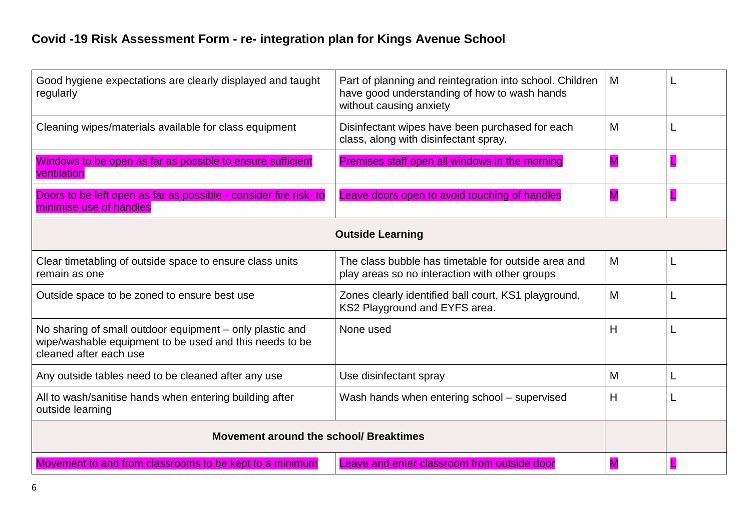| Good hygiene expectations are clearly displayed and taught<br>regularly                                                                       | Part of planning and reintegration into school. Children<br>have good understanding of how to wash hands<br>without causing anxiety | M                       |   |
|-----------------------------------------------------------------------------------------------------------------------------------------------|-------------------------------------------------------------------------------------------------------------------------------------|-------------------------|---|
| Cleaning wipes/materials available for class equipment                                                                                        | Disinfectant wipes have been purchased for each<br>class, along with disinfectant spray.                                            | M                       | L |
| Windows to be open as far as possible to ensure sufficient<br>ventilation                                                                     | Premises staff open all windows in the morning                                                                                      | M                       |   |
| Doors to be left open as far as possible - consider fire risk- to<br>minimise use of handles                                                  | Leave doors open to avoid touching of handles                                                                                       | $\overline{\mathsf{M}}$ |   |
|                                                                                                                                               | <b>Outside Learning</b>                                                                                                             |                         |   |
| Clear timetabling of outside space to ensure class units<br>remain as one                                                                     | The class bubble has timetable for outside area and<br>play areas so no interaction with other groups                               | M                       |   |
| Outside space to be zoned to ensure best use                                                                                                  | Zones clearly identified ball court, KS1 playground,<br>KS2 Playground and EYFS area.                                               | M                       |   |
| No sharing of small outdoor equipment - only plastic and<br>wipe/washable equipment to be used and this needs to be<br>cleaned after each use | None used                                                                                                                           | H                       |   |
| Any outside tables need to be cleaned after any use                                                                                           | Use disinfectant spray                                                                                                              | M                       | L |
| All to wash/sanitise hands when entering building after<br>outside learning                                                                   | Wash hands when entering school – supervised                                                                                        | H                       |   |
| Movement around the school/ Breaktimes                                                                                                        |                                                                                                                                     |                         |   |
| Movement to and from classrooms to be kept to a minimum                                                                                       | Leave and enter classroom from outside door                                                                                         | M                       |   |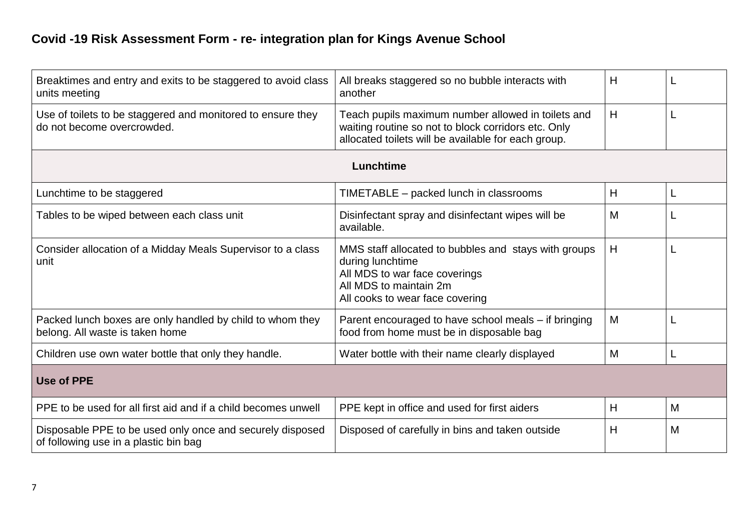| Breaktimes and entry and exits to be staggered to avoid class<br>units meeting                     | All breaks staggered so no bubble interacts with<br>another                                                                                                            | H |   |
|----------------------------------------------------------------------------------------------------|------------------------------------------------------------------------------------------------------------------------------------------------------------------------|---|---|
| Use of toilets to be staggered and monitored to ensure they<br>do not become overcrowded.          | Teach pupils maximum number allowed in toilets and<br>waiting routine so not to block corridors etc. Only<br>allocated toilets will be available for each group.       | H |   |
| Lunchtime                                                                                          |                                                                                                                                                                        |   |   |
| Lunchtime to be staggered                                                                          | TIMETABLE - packed lunch in classrooms                                                                                                                                 | H |   |
| Tables to be wiped between each class unit                                                         | Disinfectant spray and disinfectant wipes will be<br>available.                                                                                                        | M |   |
| Consider allocation of a Midday Meals Supervisor to a class<br>unit                                | MMS staff allocated to bubbles and stays with groups<br>during lunchtime<br>All MDS to war face coverings<br>All MDS to maintain 2m<br>All cooks to wear face covering | H |   |
| Packed lunch boxes are only handled by child to whom they<br>belong. All waste is taken home       | Parent encouraged to have school meals - if bringing<br>food from home must be in disposable bag                                                                       | M |   |
| Children use own water bottle that only they handle.                                               | Water bottle with their name clearly displayed                                                                                                                         | M | L |
| <b>Use of PPE</b>                                                                                  |                                                                                                                                                                        |   |   |
| PPE to be used for all first aid and if a child becomes unwell                                     | PPE kept in office and used for first aiders                                                                                                                           | H | M |
| Disposable PPE to be used only once and securely disposed<br>of following use in a plastic bin bag | Disposed of carefully in bins and taken outside                                                                                                                        | H | M |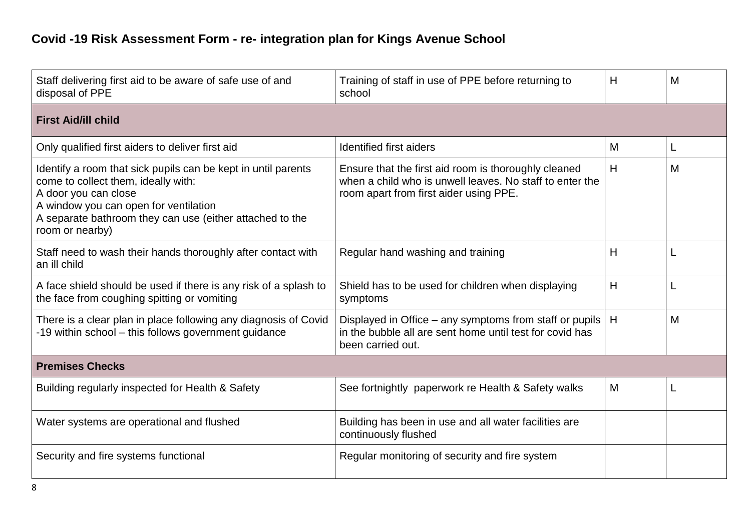| Staff delivering first aid to be aware of safe use of and<br>disposal of PPE                                                                                                                                                                         | Training of staff in use of PPE before returning to<br>school                                                                                              | H | M |
|------------------------------------------------------------------------------------------------------------------------------------------------------------------------------------------------------------------------------------------------------|------------------------------------------------------------------------------------------------------------------------------------------------------------|---|---|
| <b>First Aid/ill child</b>                                                                                                                                                                                                                           |                                                                                                                                                            |   |   |
| Only qualified first aiders to deliver first aid                                                                                                                                                                                                     | Identified first aiders                                                                                                                                    | M | L |
| Identify a room that sick pupils can be kept in until parents<br>come to collect them, ideally with:<br>A door you can close<br>A window you can open for ventilation<br>A separate bathroom they can use (either attached to the<br>room or nearby) | Ensure that the first aid room is thoroughly cleaned<br>when a child who is unwell leaves. No staff to enter the<br>room apart from first aider using PPE. | H | M |
| Staff need to wash their hands thoroughly after contact with<br>an ill child                                                                                                                                                                         | Regular hand washing and training                                                                                                                          | H |   |
| A face shield should be used if there is any risk of a splash to<br>the face from coughing spitting or vomiting                                                                                                                                      | Shield has to be used for children when displaying<br>symptoms                                                                                             | H |   |
| There is a clear plan in place following any diagnosis of Covid<br>-19 within school - this follows government guidance                                                                                                                              | Displayed in Office – any symptoms from staff or pupils $ $<br>in the bubble all are sent home until test for covid has<br>been carried out.               | H | M |
| <b>Premises Checks</b>                                                                                                                                                                                                                               |                                                                                                                                                            |   |   |
| Building regularly inspected for Health & Safety                                                                                                                                                                                                     | See fortnightly paperwork re Health & Safety walks                                                                                                         | M | L |
| Water systems are operational and flushed                                                                                                                                                                                                            | Building has been in use and all water facilities are<br>continuously flushed                                                                              |   |   |
| Security and fire systems functional                                                                                                                                                                                                                 | Regular monitoring of security and fire system                                                                                                             |   |   |